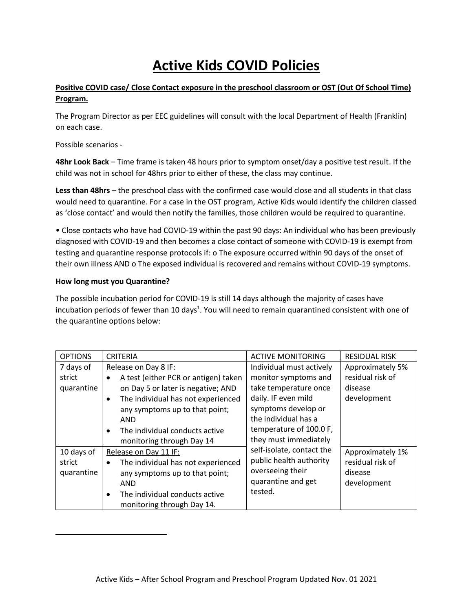# **Active Kids COVID Policies**

# **Positive COVID case/ Close Contact exposure in the preschool classroom or OST (Out Of School Time) Program.**

The Program Director as per EEC guidelines will consult with the local Department of Health (Franklin) on each case.

Possible scenarios -

**48hr Look Back** – Time frame is taken 48 hours prior to symptom onset/day a positive test result. If the child was not in school for 48hrs prior to either of these, the class may continue.

**Less than 48hrs** – the preschool class with the confirmed case would close and all students in that class would need to quarantine. For a case in the OST program, Active Kids would identify the children classed as 'close contact' and would then notify the families, those children would be required to quarantine.

• Close contacts who have had COVID-19 within the past 90 days: An individual who has been previously diagnosed with COVID-19 and then becomes a close contact of someone with COVID-19 is exempt from testing and quarantine response protocols if: o The exposure occurred within 90 days of the onset of their own illness AND o The exposed individual is recovered and remains without COVID-19 symptoms.

#### **How long must you Quarantine?**

The possible incubation period for COVID-19 is still 14 days although the majority of cases have incubation periods of fewer than 10 days<sup>1</sup>. You will need to remain quarantined consistent with one of the quarantine options below:

| <b>OPTIONS</b> | <b>CRITERIA</b>                                 | <b>ACTIVE MONITORING</b>  | <b>RESIDUAL RISK</b> |
|----------------|-------------------------------------------------|---------------------------|----------------------|
| 7 days of      | Release on Day 8 IF:                            | Individual must actively  | Approximately 5%     |
| strict         | A test (either PCR or antigen) taken            | monitor symptoms and      | residual risk of     |
| quarantine     | on Day 5 or later is negative; AND              | take temperature once     | disease              |
|                | The individual has not experienced<br>$\bullet$ | daily. IF even mild       | development          |
|                | any symptoms up to that point;                  | symptoms develop or       |                      |
|                | AND                                             | the individual has a      |                      |
|                | The individual conducts active<br>$\bullet$     | temperature of 100.0 F,   |                      |
|                | monitoring through Day 14                       | they must immediately     |                      |
| 10 days of     | Release on Day 11 IF:                           | self-isolate, contact the | Approximately 1%     |
| strict         | The individual has not experienced              | public health authority   | residual risk of     |
| quarantine     | any symptoms up to that point;                  | overseeing their          | disease              |
|                | AND                                             | quarantine and get        | development          |
|                | The individual conducts active<br>$\bullet$     | tested.                   |                      |
|                | monitoring through Day 14.                      |                           |                      |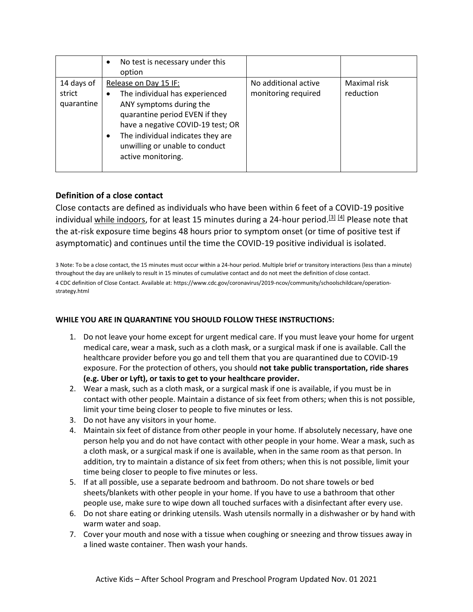|                                    | No test is necessary under this<br>$\bullet$<br>option                                                                                                                                                                                                      |                                             |                           |
|------------------------------------|-------------------------------------------------------------------------------------------------------------------------------------------------------------------------------------------------------------------------------------------------------------|---------------------------------------------|---------------------------|
| 14 days of<br>strict<br>quarantine | Release on Day 15 IF:<br>The individual has experienced<br>ANY symptoms during the<br>quarantine period EVEN if they<br>have a negative COVID-19 test; OR<br>The individual indicates they are<br>٠<br>unwilling or unable to conduct<br>active monitoring. | No additional active<br>monitoring required | Maximal risk<br>reduction |

# **Definition of a close contact**

Close contacts are defined as individuals who have been within 6 feet of a COVID-19 positive individual while indoors, for at least 15 minutes during a 24-hour period.<sup>[3] [4]</sup> Please note that the at-risk exposure time begins 48 hours prior to symptom onset (or time of positive test if asymptomatic) and continues until the time the COVID-19 positive individual is isolated.

3 Note: To be a close contact, the 15 minutes must occur within a 24-hour period. Multiple brief or transitory interactions (less than a minute) throughout the day are unlikely to result in 15 minutes of cumulative contact and do not meet the definition of close contact. 4 CDC definition of Close Contact. Available at: https://www.cdc.gov/coronavirus/2019-ncov/community/schoolschildcare/operationstrategy.html

### **WHILE YOU ARE IN QUARANTINE YOU SHOULD FOLLOW THESE INSTRUCTIONS:**

- 1. Do not leave your home except for urgent medical care. If you must leave your home for urgent medical care, wear a mask, such as a cloth mask, or a surgical mask if one is available. Call the healthcare provider before you go and tell them that you are quarantined due to COVID-19 exposure. For the protection of others, you should **not take public transportation, ride shares (e.g. Uber or Lyft), or taxis to get to your healthcare provider.**
- 2. Wear a mask, such as a cloth mask, or a surgical mask if one is available, if you must be in contact with other people. Maintain a distance of six feet from others; when this is not possible, limit your time being closer to people to five minutes or less.
- 3. Do not have any visitors in your home.
- 4. Maintain six feet of distance from other people in your home. If absolutely necessary, have one person help you and do not have contact with other people in your home. Wear a mask, such as a cloth mask, or a surgical mask if one is available, when in the same room as that person. In addition, try to maintain a distance of six feet from others; when this is not possible, limit your time being closer to people to five minutes or less.
- 5. If at all possible, use a separate bedroom and bathroom. Do not share towels or bed sheets/blankets with other people in your home. If you have to use a bathroom that other people use, make sure to wipe down all touched surfaces with a disinfectant after every use.
- 6. Do not share eating or drinking utensils. Wash utensils normally in a dishwasher or by hand with warm water and soap.
- 7. Cover your mouth and nose with a tissue when coughing or sneezing and throw tissues away in a lined waste container. Then wash your hands.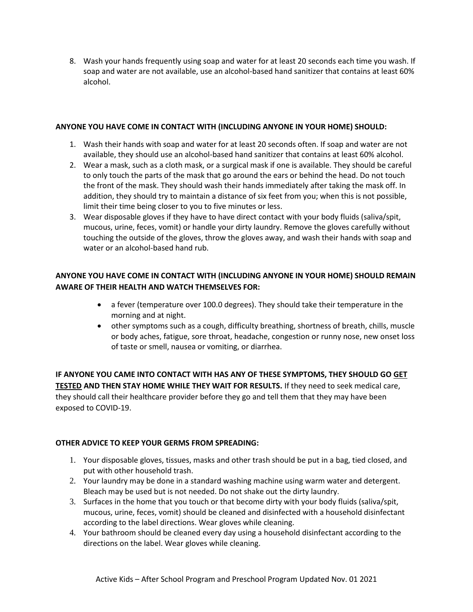8. Wash your hands frequently using soap and water for at least 20 seconds each time you wash. If soap and water are not available, use an alcohol-based hand sanitizer that contains at least 60% alcohol.

#### **ANYONE YOU HAVE COME IN CONTACT WITH (INCLUDING ANYONE IN YOUR HOME) SHOULD:**

- 1. Wash their hands with soap and water for at least 20 seconds often. If soap and water are not available, they should use an alcohol-based hand sanitizer that contains at least 60% alcohol.
- 2. Wear a mask, such as a cloth mask, or a surgical mask if one is available. They should be careful to only touch the parts of the mask that go around the ears or behind the head. Do not touch the front of the mask. They should wash their hands immediately after taking the mask off. In addition, they should try to maintain a distance of six feet from you; when this is not possible, limit their time being closer to you to five minutes or less.
- 3. Wear disposable gloves if they have to have direct contact with your body fluids (saliva/spit, mucous, urine, feces, vomit) or handle your dirty laundry. Remove the gloves carefully without touching the outside of the gloves, throw the gloves away, and wash their hands with soap and water or an alcohol-based hand rub.

# **ANYONE YOU HAVE COME IN CONTACT WITH (INCLUDING ANYONE IN YOUR HOME) SHOULD REMAIN AWARE OF THEIR HEALTH AND WATCH THEMSELVES FOR:**

- a fever (temperature over 100.0 degrees). They should take their temperature in the morning and at night.
- other symptoms such as a cough, difficulty breathing, shortness of breath, chills, muscle or body aches, fatigue, sore throat, headache, congestion or runny nose, new onset loss of taste or smell, nausea or vomiting, or diarrhea.

**IF ANYONE YOU CAME INTO CONTACT WITH HAS ANY OF THESE SYMPTOMS, THEY SHOULD GO [GET](https://www.mass.gov/info-details/about-covid-19-testing)  [TESTED](https://www.mass.gov/info-details/about-covid-19-testing) AND THEN STAY HOME WHILE THEY WAIT FOR RESULTS.** If they need to seek medical care, they should call their healthcare provider before they go and tell them that they may have been exposed to COVID-19.

#### **OTHER ADVICE TO KEEP YOUR GERMS FROM SPREADING:**

- 1. Your disposable gloves, tissues, masks and other trash should be put in a bag, tied closed, and put with other household trash.
- 2. Your laundry may be done in a standard washing machine using warm water and detergent. Bleach may be used but is not needed. Do not shake out the dirty laundry.
- 3. Surfaces in the home that you touch or that become dirty with your body fluids (saliva/spit, mucous, urine, feces, vomit) should be cleaned and disinfected with a household disinfectant according to the label directions. Wear gloves while cleaning.
- 4. Your bathroom should be cleaned every day using a household disinfectant according to the directions on the label. Wear gloves while cleaning.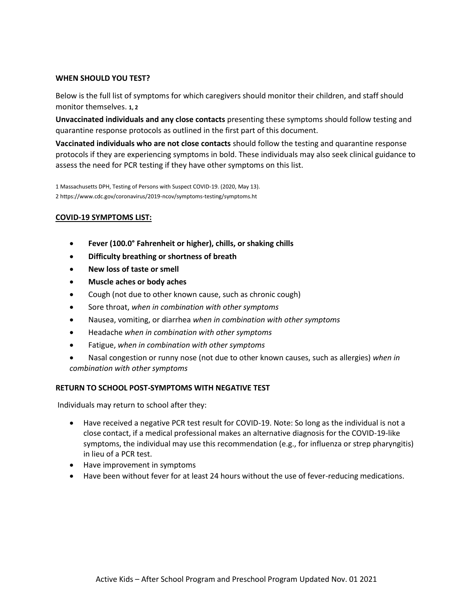#### **WHEN SHOULD YOU TEST?**

Below is the full list of symptoms for which caregivers should monitor their children, and staff should monitor themselves. **1, 2**

**Unvaccinated individuals and any close contacts** presenting these symptoms should follow testing and quarantine response protocols as outlined in the first part of this document.

**Vaccinated individuals who are not close contacts** should follow the testing and quarantine response protocols if they are experiencing symptoms in bold. These individuals may also seek clinical guidance to assess the need for PCR testing if they have other symptoms on this list.

1 Massachusetts DPH, Testing of Persons with Suspect COVID-19. (2020, May 13). 2 https://www.cdc.gov/coronavirus/2019-ncov/symptoms-testing/symptoms.ht

#### **COVID-19 SYMPTOMS LIST:**

- **Fever (100.0° Fahrenheit or higher), chills, or shaking chills**
- **Difficulty breathing or shortness of breath**
- **New loss of taste or smell**
- **Muscle aches or body aches**
- Cough (not due to other known cause, such as chronic cough)
- Sore throat, *when in combination with other symptoms*
- Nausea, vomiting, or diarrhea *when in combination with other symptoms*
- Headache *when in combination with other symptoms*
- Fatigue, *when in combination with other symptoms*
- Nasal congestion or runny nose (not due to other known causes, such as allergies) *when in combination with other symptoms*

#### **RETURN TO SCHOOL POST-SYMPTOMS WITH NEGATIVE TEST**

Individuals may return to school after they:

- Have received a negative PCR test result for COVID-19. Note: So long as the individual is not a close contact, if a medical professional makes an alternative diagnosis for the COVID-19-like symptoms, the individual may use this recommendation (e.g., for influenza or strep pharyngitis) in lieu of a PCR test.
- Have improvement in symptoms
- Have been without fever for at least 24 hours without the use of fever-reducing medications.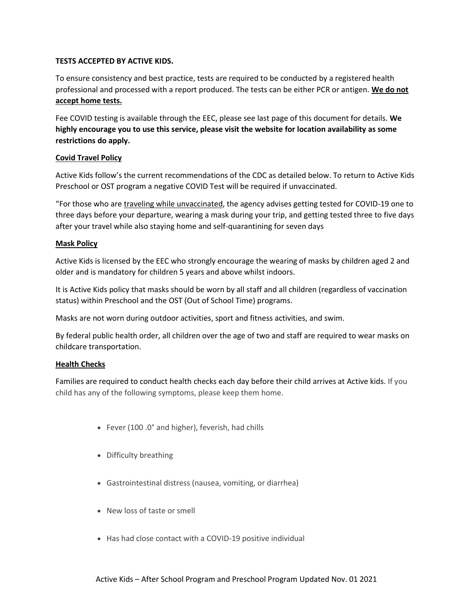#### **TESTS ACCEPTED BY ACTIVE KIDS.**

To ensure consistency and best practice, tests are required to be conducted by a registered health professional and processed with a report produced. The tests can be either PCR or antigen. **We do not accept home tests.**

Fee COVID testing is available through the EEC, please see last page of this document for details. **We highly encourage you to use this service, please visit the website for location availability as some restrictions do apply.**

#### **Covid Travel Policy**

Active Kids follow's the current recommendations of the CDC as detailed below. To return to Active Kids Preschool or OST program a negative COVID Test will be required if unvaccinated.

"For those who are [traveling while unvaccinated,](https://nam12.safelinks.protection.outlook.com/?url=https%3A%2F%2Fwww.cdc.gov%2Fcoronavirus%2F2019-ncov%2Ftravelers%2Ftravel-during-covid19.html%23unvaccinated-people&data=04%7C01%7Cchansom%40adirondackclub.com%7Cef5c8902f5d34e2b21d708d987795451%7C59a1db4176694bb3b6d21ea9494f8641%7C0%7C0%7C637689777440913306%7CUnknown%7CTWFpbGZsb3d8eyJWIjoiMC4wLjAwMDAiLCJQIjoiV2luMzIiLCJBTiI6Ik1haWwiLCJXVCI6Mn0%3D%7C1000&sdata=uc1UC%2B8YKzqsYETR55eFje14K2BpyloY2W3fURVtbvM%3D&reserved=0) the agency advises getting tested for COVID-19 one to three days before your departure, wearing a mask during your trip, and getting tested three to five days after your travel while also staying home and self-quarantining for seven days

#### **Mask Policy**

Active Kids is licensed by the EEC who strongly encourage the wearing of masks by children aged 2 and older and is mandatory for children 5 years and above whilst indoors.

It is Active Kids policy that masks should be worn by all staff and all children (regardless of vaccination status) within Preschool and the OST (Out of School Time) programs.

Masks are not worn during outdoor activities, sport and fitness activities, and swim.

By federal public health order, all children over the age of two and staff are required to wear masks on childcare transportation.

#### **Health Checks**

Families are required to conduct health checks each day before their child arrives at Active kids. If you child has any of the following symptoms, please keep them home.

- Fever (100 .0° and higher), feverish, had chills
- Difficulty breathing
- Gastrointestinal distress (nausea, vomiting, or diarrhea)
- New loss of taste or smell
- Has had close contact with a COVID-19 positive individual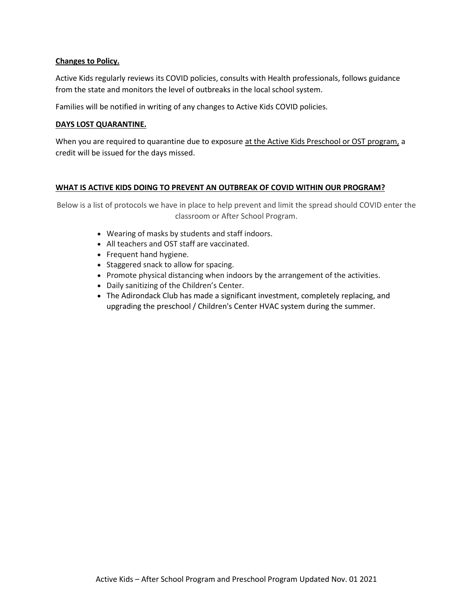#### **Changes to Policy.**

Active Kids regularly reviews its COVID policies, consults with Health professionals, follows guidance from the state and monitors the level of outbreaks in the local school system.

Families will be notified in writing of any changes to Active Kids COVID policies.

#### **DAYS LOST QUARANTINE.**

When you are required to quarantine due to exposure at the Active Kids Preschool or OST program, a credit will be issued for the days missed.

#### **WHAT IS ACTIVE KIDS DOING TO PREVENT AN OUTBREAK OF COVID WITHIN OUR PROGRAM?**

Below is a list of protocols we have in place to help prevent and limit the spread should COVID enter the classroom or After School Program.

- Wearing of masks by students and staff indoors.
- All teachers and OST staff are vaccinated.
- Frequent hand hygiene.
- Staggered snack to allow for spacing.
- Promote physical distancing when indoors by the arrangement of the activities.
- Daily sanitizing of the Children's Center.
- The Adirondack Club has made a significant investment, completely replacing, and upgrading the preschool / Children's Center HVAC system during the summer.